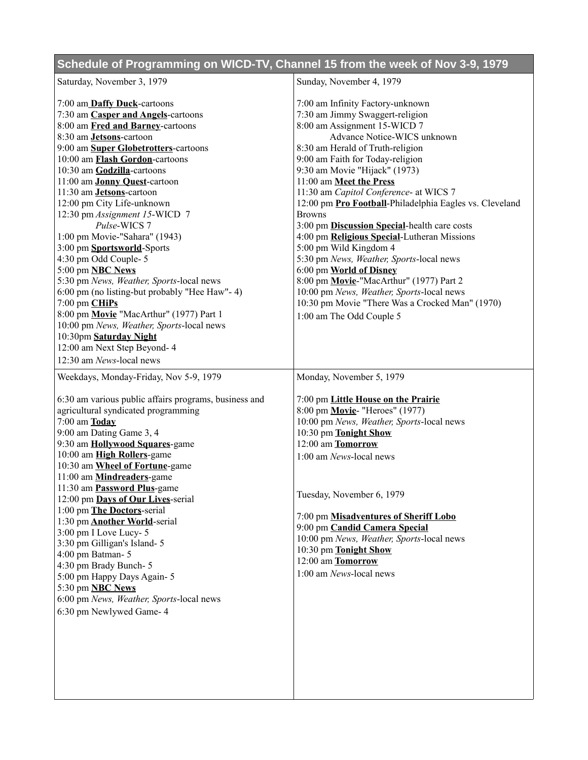## **Schedule of Programming on WICD-TV, Channel 15 from the week of Nov 3-9, 1979**

| Saturday, November 3, 1979                                                                                                                                                                                                                                                                                                                                                                                                                                                                                                                                                                                                                                                                                                                        | Sunday, November 4, 1979                                                                                                                                                                                                                                                                                                                                                                                                                                                                                                                                                                                                                                                                                                                                            |
|---------------------------------------------------------------------------------------------------------------------------------------------------------------------------------------------------------------------------------------------------------------------------------------------------------------------------------------------------------------------------------------------------------------------------------------------------------------------------------------------------------------------------------------------------------------------------------------------------------------------------------------------------------------------------------------------------------------------------------------------------|---------------------------------------------------------------------------------------------------------------------------------------------------------------------------------------------------------------------------------------------------------------------------------------------------------------------------------------------------------------------------------------------------------------------------------------------------------------------------------------------------------------------------------------------------------------------------------------------------------------------------------------------------------------------------------------------------------------------------------------------------------------------|
| 7:00 am Daffy Duck-cartoons<br>7:30 am Casper and Angels-cartoons<br>8:00 am Fred and Barney-cartoons<br>8:30 am <b>Jetsons</b> -cartoon<br>9:00 am Super Globetrotters-cartoons<br>10:00 am Flash Gordon-cartoons<br>10:30 am Godzilla-cartoons<br>11:00 am Jonny Quest-cartoon<br>11:30 am Jetsons-cartoon<br>12:00 pm City Life-unknown<br>12:30 pm Assignment 15-WICD 7<br>Pulse-WICS 7<br>1:00 pm Movie-"Sahara" (1943)<br>3:00 pm Sportsworld-Sports<br>4:30 pm Odd Couple-5<br>5:00 pm <b>NBC News</b><br>5:30 pm News, Weather, Sports-local news<br>6:00 pm (no listing-but probably "Hee Haw"-4)<br>$7:00$ pm $CHiPs$<br>8:00 pm Movie "MacArthur" (1977) Part 1<br>10:00 pm News, Weather, Sports-local news<br>10:30pm Saturday Night | 7:00 am Infinity Factory-unknown<br>7:30 am Jimmy Swaggert-religion<br>8:00 am Assignment 15-WICD 7<br>Advance Notice-WICS unknown<br>8:30 am Herald of Truth-religion<br>9:00 am Faith for Today-religion<br>9:30 am Movie "Hijack" (1973)<br>11:00 am Meet the Press<br>11:30 am Capitol Conference- at WICS 7<br>12:00 pm Pro Football-Philadelphia Eagles vs. Cleveland<br><b>Browns</b><br>3:00 pm Discussion Special-health care costs<br>4:00 pm Religious Special-Lutheran Missions<br>5:00 pm Wild Kingdom 4<br>5:30 pm News, Weather, Sports-local news<br>6:00 pm World of Disney<br>8:00 pm Movie-"MacArthur" (1977) Part 2<br>10:00 pm News, Weather, Sports-local news<br>10:30 pm Movie "There Was a Crocked Man" (1970)<br>1:00 am The Odd Couple 5 |
| 12:00 am Next Step Beyond- 4<br>12:30 am News-local news                                                                                                                                                                                                                                                                                                                                                                                                                                                                                                                                                                                                                                                                                          |                                                                                                                                                                                                                                                                                                                                                                                                                                                                                                                                                                                                                                                                                                                                                                     |
| Weekdays, Monday-Friday, Nov 5-9, 1979                                                                                                                                                                                                                                                                                                                                                                                                                                                                                                                                                                                                                                                                                                            | Monday, November 5, 1979                                                                                                                                                                                                                                                                                                                                                                                                                                                                                                                                                                                                                                                                                                                                            |
| 6:30 am various public affairs programs, business and<br>agricultural syndicated programming<br>$7:00$ am $\underline{\textbf{Today}}$<br>9:00 am Dating Game 3, 4<br>9:30 am <b>Hollywood Squares</b> -game<br>10:00 am High Rollers-game<br>10:30 am Wheel of Fortune-game<br>11:00 am Mindreaders-game<br>11:30 am <b>Password Plus</b> -game<br>12:00 pm Days of Our Lives-serial<br>1:00 pm The Doctors-serial<br>1:30 pm <b>Another World</b> -serial<br>3:00 pm I Love Lucy-5<br>3:30 pm Gilligan's Island-5<br>4:00 pm Batman-5<br>4:30 pm Brady Bunch-5<br>5:00 pm Happy Days Again-5<br>5:30 pm <b>NBC News</b><br>6:00 pm News, Weather, Sports-local news<br>6:30 pm Newlywed Game- 4                                                 | 7:00 pm Little House on the Prairie<br>8:00 pm Movie- "Heroes" (1977)<br>10:00 pm News, Weather, Sports-local news<br>10:30 pm Tonight Show<br>12:00 am Tomorrow<br>1:00 am News-local news<br>Tuesday, November 6, 1979<br>7:00 pm Misadventures of Sheriff Lobo<br>9:00 pm Candid Camera Special<br>10:00 pm News, Weather, Sports-local news<br>10:30 pm Tonight Show<br>12:00 am Tomorrow<br>1:00 am News-local news                                                                                                                                                                                                                                                                                                                                            |